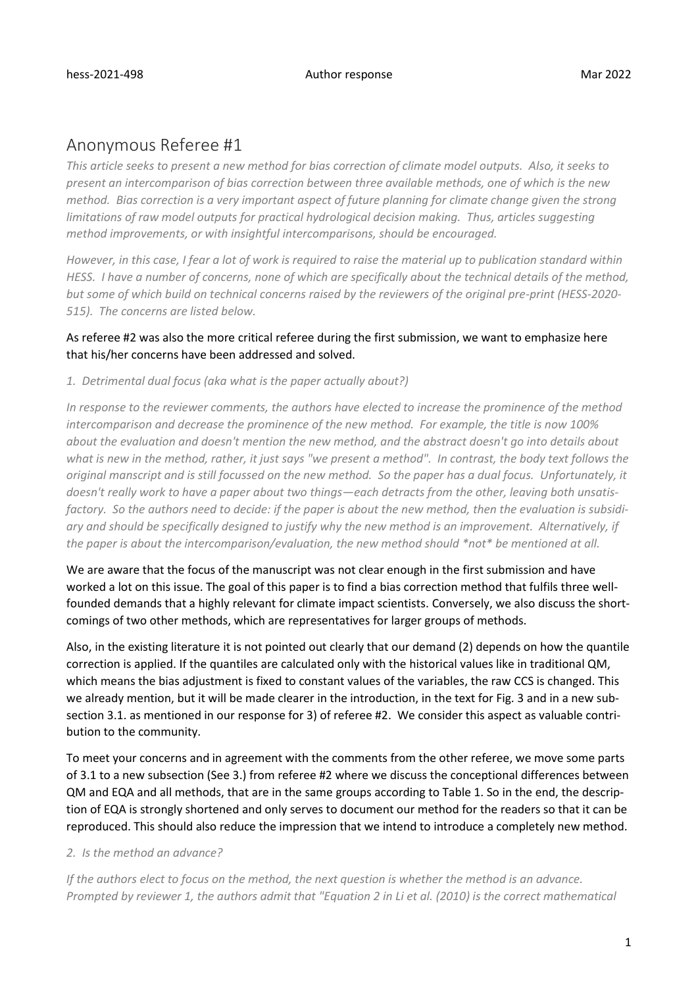# Anonymous Referee #1

*This article seeks to present a new method for bias correction of climate model outputs. Also, it seeks to present an intercomparison of bias correction between three available methods, one of which is the new method. Bias correction is a very important aspect of future planning for climate change given the strong limitations of raw model outputs for practical hydrological decision making. Thus, articles suggesting method improvements, or with insightful intercomparisons, should be encouraged.* 

*However, in this case, I fear a lot of work is required to raise the material up to publication standard within HESS. I have a number of concerns, none of which are specifically about the technical details of the method, but some of which build on technical concerns raised by the reviewers of the original pre-print (HESS-2020- 515). The concerns are listed below.* 

## As referee #2 was also the more critical referee during the first submission, we want to emphasize here that his/her concerns have been addressed and solved.

*1. Detrimental dual focus (aka what is the paper actually about?)*

*In response to the reviewer comments, the authors have elected to increase the prominence of the method intercomparison and decrease the prominence of the new method. For example, the title is now 100% about the evaluation and doesn't mention the new method, and the abstract doesn't go into details about what is new in the method, rather, it just says "we present a method". In contrast, the body text follows the original manscript and is still focussed on the new method. So the paper has a dual focus. Unfortunately, it doesn't really work to have a paper about two things—each detracts from the other, leaving both unsatisfactory. So the authors need to decide: if the paper is about the new method, then the evaluation is subsidiary and should be specifically designed to justify why the new method is an improvement. Alternatively, if the paper is about the intercomparison/evaluation, the new method should \*not\* be mentioned at all.* 

We are aware that the focus of the manuscript was not clear enough in the first submission and have worked a lot on this issue. The goal of this paper is to find a bias correction method that fulfils three wellfounded demands that a highly relevant for climate impact scientists. Conversely, we also discuss the shortcomings of two other methods, which are representatives for larger groups of methods.

Also, in the existing literature it is not pointed out clearly that our demand (2) depends on how the quantile correction is applied. If the quantiles are calculated only with the historical values like in traditional QM, which means the bias adjustment is fixed to constant values of the variables, the raw CCS is changed. This we already mention, but it will be made clearer in the introduction, in the text for Fig. 3 and in a new subsection 3.1. as mentioned in our response for 3) of referee #2. We consider this aspect as valuable contribution to the community.

To meet your concerns and in agreement with the comments from the other referee, we move some parts of 3.1 to a new subsection (See 3.) from referee #2 where we discuss the conceptional differences between QM and EQA and all methods, that are in the same groups according to Table 1. So in the end, the description of EQA is strongly shortened and only serves to document our method for the readers so that it can be reproduced. This should also reduce the impression that we intend to introduce a completely new method.

*2. Is the method an advance?* 

*If the authors elect to focus on the method, the next question is whether the method is an advance. Prompted by reviewer 1, the authors admit that "Equation 2 in Li et al. (2010) is the correct mathematical*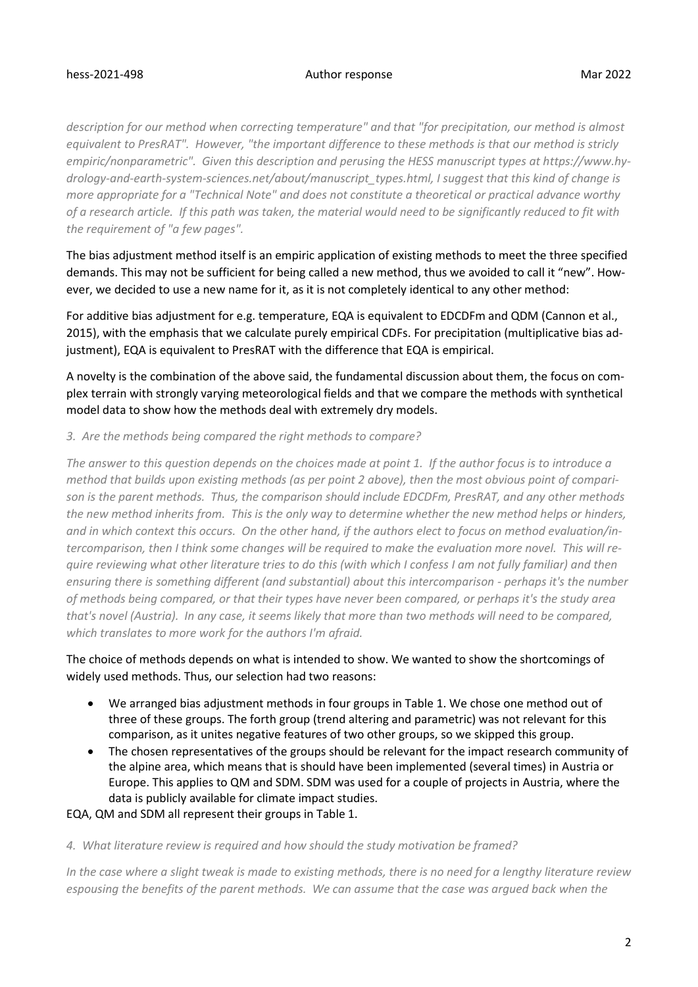## hess-2021-498 Author response Mar 2022

*description for our method when correcting temperature" and that "for precipitation, our method is almost equivalent to PresRAT". However, "the important difference to these methods is that our method is stricly empiric/nonparametric". Given this description and perusing the HESS manuscript types at https://www.hydrology-and-earth-system-sciences.net/about/manuscript\_types.html, I suggest that this kind of change is more appropriate for a "Technical Note" and does not constitute a theoretical or practical advance worthy of a research article. If this path was taken, the material would need to be significantly reduced to fit with the requirement of "a few pages".* 

The bias adjustment method itself is an empiric application of existing methods to meet the three specified demands. This may not be sufficient for being called a new method, thus we avoided to call it "new". However, we decided to use a new name for it, as it is not completely identical to any other method:

For additive bias adjustment for e.g. temperature, EQA is equivalent to EDCDFm and QDM (Cannon et al., 2015), with the emphasis that we calculate purely empirical CDFs. For precipitation (multiplicative bias adjustment), EQA is equivalent to PresRAT with the difference that EQA is empirical.

A novelty is the combination of the above said, the fundamental discussion about them, the focus on complex terrain with strongly varying meteorological fields and that we compare the methods with synthetical model data to show how the methods deal with extremely dry models.

## *3. Are the methods being compared the right methods to compare?*

*The answer to this question depends on the choices made at point 1. If the author focus is to introduce a method that builds upon existing methods (as per point 2 above), then the most obvious point of comparison is the parent methods. Thus, the comparison should include EDCDFm, PresRAT, and any other methods the new method inherits from. This is the only way to determine whether the new method helps or hinders, and in which context this occurs. On the other hand, if the authors elect to focus on method evaluation/intercomparison, then I think some changes will be required to make the evaluation more novel. This will require reviewing what other literature tries to do this (with which I confess I am not fully familiar) and then ensuring there is something different (and substantial) about this intercomparison - perhaps it's the number of methods being compared, or that their types have never been compared, or perhaps it's the study area that's novel (Austria). In any case, it seems likely that more than two methods will need to be compared, which translates to more work for the authors I'm afraid.* 

## The choice of methods depends on what is intended to show. We wanted to show the shortcomings of widely used methods. Thus, our selection had two reasons:

- We arranged bias adjustment methods in four groups in Table 1. We chose one method out of three of these groups. The forth group (trend altering and parametric) was not relevant for this comparison, as it unites negative features of two other groups, so we skipped this group.
- The chosen representatives of the groups should be relevant for the impact research community of the alpine area, which means that is should have been implemented (several times) in Austria or Europe. This applies to QM and SDM. SDM was used for a couple of projects in Austria, where the data is publicly available for climate impact studies.

## EQA, QM and SDM all represent their groups in Table 1.

## *4. What literature review is required and how should the study motivation be framed?*

*In the case where a slight tweak is made to existing methods, there is no need for a lengthy literature review espousing the benefits of the parent methods. We can assume that the case was argued back when the*